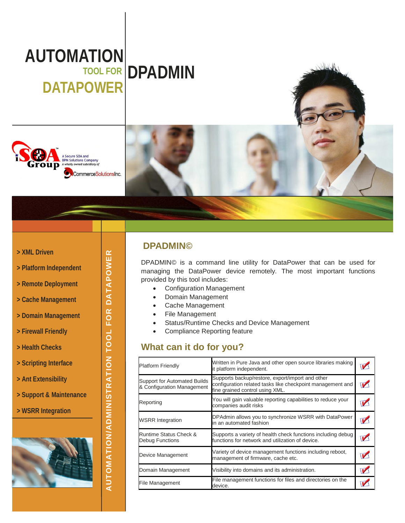# **AUTOMATION TOOL FOR DPADMIN DATAPOWER**



#### **> XML Driven**

- **> Platform Independent**
- **> Remote Deployment**
- **> Cache Management**
- **> Domain Management**
- **> Firewall Friendly**
- **> Health Checks**
- **> Scripting Interface**
- **> Ant Extensibility**
- **> Support & Maintenance**
- **> WSRR Integration**



**AUTOMATIO**

**N/A D**

**MINIS**

**TRATIO NTOOLFORDATAPOWER**

### **DPADMIN©**

DPADMIN© is a command line utility for DataPower that can be used for managing the DataPower device remotely. The most important functions provided by this tool includes:

- Configuration Management
- Domain Management
- Cache Management
- File Management
- Status/Runtime Checks and Device Management
- Compliance Reporting feature

# **What can it do for you?**

| <b>Platform Friendly</b>                                          | Written in Pure Java and other open source libraries making<br>it platform independent.                                                           |  |
|-------------------------------------------------------------------|---------------------------------------------------------------------------------------------------------------------------------------------------|--|
| <b>Support for Automated Builds</b><br>& Configuration Management | Supports backup/restore, export/import and other<br>configuration related tasks like checkpoint management and<br>fine grained control using XML. |  |
| Reporting                                                         | You will gain valuable reporting capabilities to reduce your<br>companies audit risks                                                             |  |
| <b>WSRR Integration</b>                                           | DPAdmin allows you to synchronize WSRR with DataPower<br>in an automated fashion                                                                  |  |
| <b>Runtime Status Check &amp;</b><br>Debug Functions              | Supports a variety of health check functions including debug<br>functions for network and utilization of device.                                  |  |
| Device Management                                                 | Variety of device management functions including reboot,<br>management of firmware, cache etc.                                                    |  |
| Domain Management                                                 | Visibility into domains and its administration.                                                                                                   |  |
| File Management                                                   | File management functions for files and directories on the<br>device.                                                                             |  |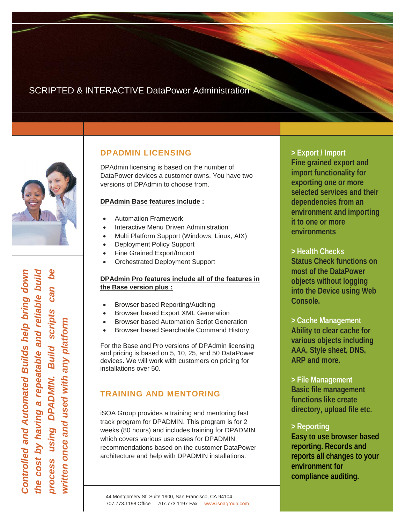# SCRIPTED & INTERACTIVE DataPower Administration



*Controlle dandAuto mate dBuilds help brin gdo wn th ecostbyhavin garep eata ble andrelia ble build pro cessusin gDPA DMIN. B uild scrip ts canbewrit te nonceandusedwith anypla tfo rm*

### **DPADMIN LICENSING**

DPAdmin licensing is based on the number of DataPower devices a customer owns. You have two versions of DPAdmin to choose from.

#### **DPAdmin Base features include :**

- Automation Framework
- Interactive Menu Driven Administration
- Multi Platform Support (Windows, Linux, AIX)
- Deployment Policy Support
- Fine Grained Export/Import
- Orchestrated Deployment Support

#### **DPAdmin Pro features include all of the features in the Base version plus :**

- Browser based Reporting/Auditing
- Browser based Export XML Generation
- Browser based Automation Script Generation
- Browser based Searchable Command History

For the Base and Pro versions of DPAdmin licensing and pricing is based on 5, 10, 25, and 50 DataPower devices. We will work with customers on pricing for installations over 50.

# **TRAINING AND MENTORING**

iSOA Group provides a training and mentoring fast track program for DPADMIN. This program is for 2 weeks (80 hours) and includes training for DPADMIN which covers various use cases for DPADMIN, recommendations based on the customer DataPower architecture and help with DPADMIN installations.

**> Export / Import Fine grained export and import functionality for exporting one or more selected services and their dependencies from an environment and importing it to one or more environments**

**> Health Checks Status Check functions on most of the DataPower objects without logging into the Device using Web Console.**

**> Cache Management Ability to clear cache for various objects including AAA, Style sheet, DNS, ARP and more.**

**> File Management Basic file management functions like create directory, upload file etc.**

### **> Reporting**

**Easy to use browser based reporting. Records and reports all changes to your environment for compliance auditing.**

44 Montgomery St, Suite 1900, San Francisco, CA 94104 707.773.1198 Office 707.773.1197 Fax www.isoagroup.com